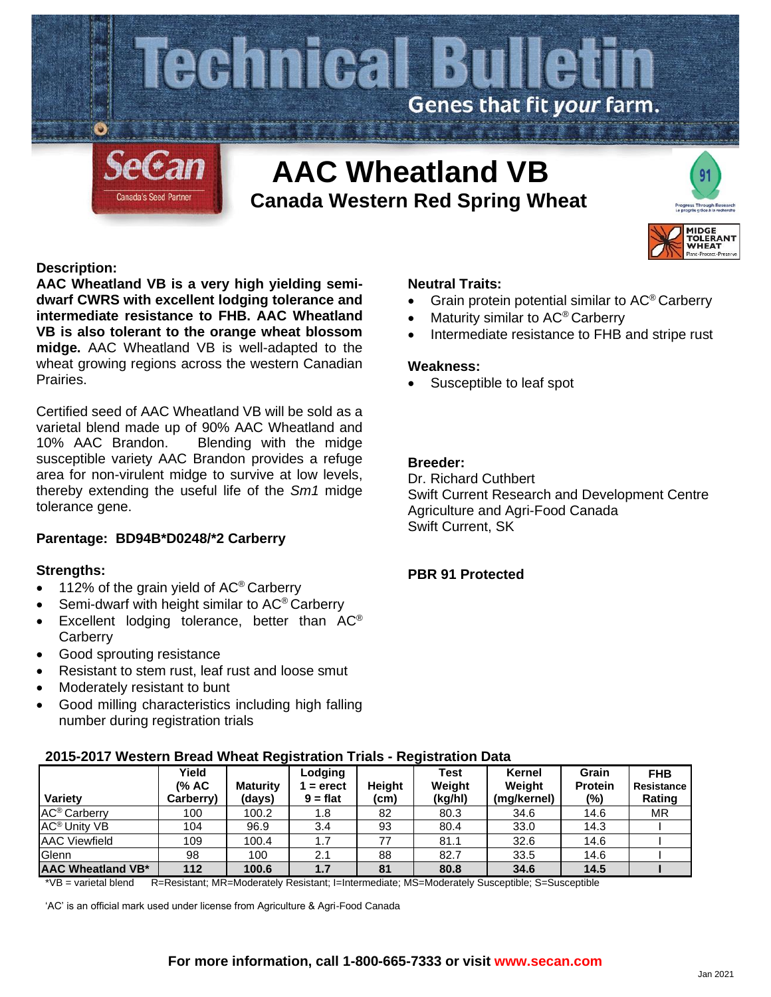

# **Canada Western Red Spring Wheat**



# **Description:**

**AAC Wheatland VB is a very high yielding semidwarf CWRS with excellent lodging tolerance and intermediate resistance to FHB. AAC Wheatland VB is also tolerant to the orange wheat blossom midge.** AAC Wheatland VB is well-adapted to the wheat growing regions across the western Canadian Prairies.

Certified seed of AAC Wheatland VB will be sold as a varietal blend made up of 90% AAC Wheatland and 10% AAC Brandon. Blending with the midge susceptible variety AAC Brandon provides a refuge area for non-virulent midge to survive at low levels, thereby extending the useful life of the *Sm1* midge tolerance gene.

# **Parentage: BD94B\*D0248/\*2 Carberry**

## **Strengths:**

- 112% of the grain yield of  $AC^{\circ}$  Carberry
- Semi-dwarf with height similar to AC<sup>®</sup> Carberry
- Excellent lodging tolerance, better than  $AC^{\circ}$ **Carberry**
- Good sprouting resistance
- Resistant to stem rust, leaf rust and loose smut
- Moderately resistant to bunt
- Good milling characteristics including high falling number during registration trials

#### **Neutral Traits:**

- Grain protein potential similar to AC® Carberry
- Maturity similar to AC<sup>®</sup> Carberry
- Intermediate resistance to FHB and stripe rust

#### **Weakness:**

Susceptible to leaf spot

# **Breeder:**

Dr. Richard Cuthbert Swift Current Research and Development Centre Agriculture and Agri-Food Canada Swift Current, SK

## **PBR 91 Protected**

|                                | <u> ZUTƏ-ZUT7 WESTEM DI BAY WILBAL KEYISLI ALION TITAIS - KEYISLI ALION DALA</u> |                           |                                    |                |                           |                                 |                                   |                                    |  |  |  |  |  |  |  |
|--------------------------------|----------------------------------------------------------------------------------|---------------------------|------------------------------------|----------------|---------------------------|---------------------------------|-----------------------------------|------------------------------------|--|--|--|--|--|--|--|
| Variety                        | Yield<br>(% AC<br>Carberry)                                                      | <b>Maturity</b><br>(days) | Lodging<br>$=$ erect<br>$9 = flat$ | Heiaht<br>(cm) | Test<br>Weight<br>(kg/hl) | Kernel<br>Weight<br>(mg/kernel) | Grain<br><b>Protein</b><br>$(\%)$ | <b>FHB</b><br>Resistance<br>Rating |  |  |  |  |  |  |  |
| AC <sup>®</sup> Carberry       | 100                                                                              | 100.2                     | 1.8                                | 82             | 80.3                      | 34.6                            | 14.6                              | МR                                 |  |  |  |  |  |  |  |
|                                |                                                                                  |                           |                                    |                |                           |                                 |                                   |                                    |  |  |  |  |  |  |  |
| <b>AC<sup>®</sup> Unity VB</b> | 104                                                                              | 96.9                      | 3.4                                | 93             | 80.4                      | 33.0                            | 14.3                              |                                    |  |  |  |  |  |  |  |
| <b>AAC Viewfield</b>           | 109                                                                              | 100.4                     | 1.7                                | 77             | 81.1                      | 32.6                            | 14.6                              |                                    |  |  |  |  |  |  |  |
| Glenn                          | 98                                                                               | 100                       | 2.1                                | 88             | 82.7                      | 33.5                            | 14.6                              |                                    |  |  |  |  |  |  |  |
| AAC Wheatland VB*              | 112                                                                              | 100.6                     | 1.7                                | 81             | 80.8                      | 34.6                            | 14.5                              |                                    |  |  |  |  |  |  |  |

## **2015-2017 Western Bread Wheat Registration Trials - Registration Data**

\*VB = varietal blend R=Resistant; MR=Moderately Resistant; I=Intermediate; MS=Moderately Susceptible; S=Susceptible

'AC' is an official mark used under license from Agriculture & Agri-Food Canada